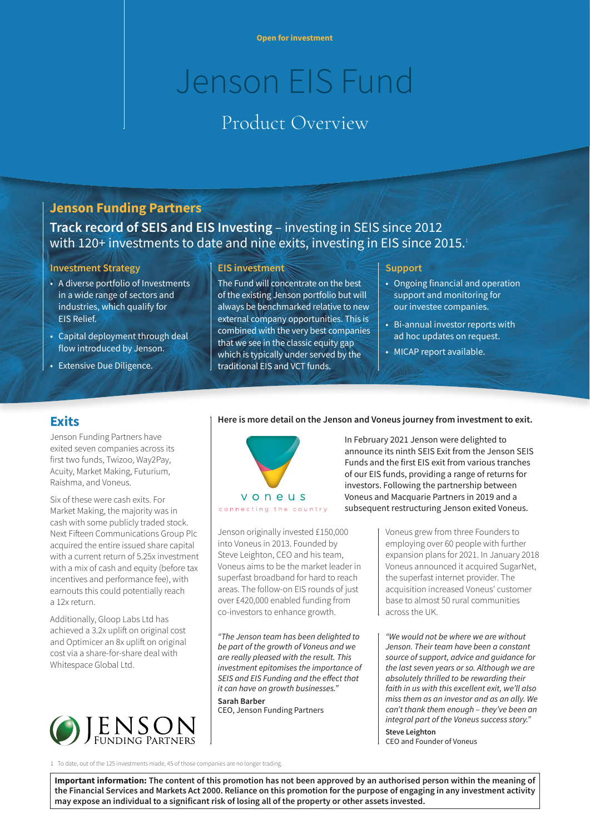# Jenson EIS Fund

# Product Overview

## **Jenson Funding Partners**

# **Track record of SEIS and EIS Investing** – investing in SEIS since 2012 with 120+ investments to date and nine exits, investing in EIS since 2015.1

#### **Investment Strategy**

- A diverse portfolio of Investments in a wide range of sectors and industries, which qualify for EIS Relief.
- Capital deployment through deal flow introduced by Jenson.
- Extensive Due Diligence.

#### **EIS investment**

The Fund will concentrate on the best of the existing Jenson portfolio but will always be benchmarked relative to new external company opportunities. This is combined with the very best companies that we see in the classic equity gap which is typically under served by the traditional EIS and VCT funds.

#### **Support**

- Ongoing financial and operation support and monitoring for our investee companies.
- Bi-annual investor reports with ad hoc updates on request.
- MICAP report available.

### **Exits**

Jenson Funding Partners have exited seven companies across its first two funds, Twizoo, Way2Pay, Acuity, Market Making, Futurium, Raishma, and Voneus.

Six of these were cash exits. For Market Making, the majority was in cash with some publicly traded stock. Next Fifteen Communications Group Plc acquired the entire issued share capital with a current return of 5.25x investment with a mix of cash and equity (before tax incentives and performance fee), with earnouts this could potentially reach a 12x return.

Additionally, Gloop Labs Ltd has achieved a 3.2x uplift on original cost and Optimicer an 8x uplift on original cost via a share-for-share deal with Whitespace Global Ltd.



#### **Here is more detail on the Jenson and Voneus journey from investment to exit.**



Jenson originally invested £150,000 into Voneus in 2013. Founded by Steve Leighton, CEO and his team, Voneus aims to be the market leader in superfast broadband for hard to reach areas. The follow-on EIS rounds of just over £420,000 enabled funding from co-investors to enhance growth.

*"The Jenson team has been delighted to be part of the growth of Voneus and we are really pleased with the result. This investment epitomises the importance of SEIS and EIS Funding and the effect that it can have on growth businesses."* **Sarah Barber** 

CEO, Jenson Funding Partners

In February 2021 Jenson were delighted to announce its ninth SEIS Exit from the Jenson SEIS Funds and the first EIS exit from various tranches of our EIS funds, providing a range of returns for investors. Following the partnership between Voneus and Macquarie Partners in 2019 and a subsequent restructuring Jenson exited Voneus.

> Voneus grew from three Founders to employing over 60 people with further expansion plans for 2021. In January 2018 Voneus announced it acquired SugarNet, the superfast internet provider. The acquisition increased Voneus' customer base to almost 50 rural communities across the UK.

*"We would not be where we are without Jenson. Their team have been a constant source of support, advice and guidance for the last seven years or so. Although we are absolutely thrilled to be rewarding their faith in us with this excellent exit, we'll also miss them as an investor and as an ally. We can't thank them enough – they've been an integral part of the Voneus success story."* **Steve Leighton** 

CEO and Founder of Voneus

1 To date, out of the 125 investments made, 45 of those companies are no longer trading.

**Important information: The content of this promotion has not been approved by an authorised person within the meaning of the Financial Services and Markets Act 2000. Reliance on this promotion for the purpose of engaging in any investment activity may expose an individual to a significant risk of losing all of the property or other assets invested.**